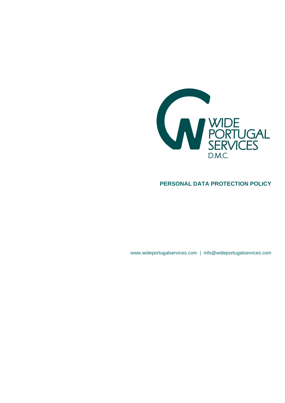

## **PERSONAL DATA PROTECTION POLICY**

www.wideportugalservices.com | info@wideportugalservices.com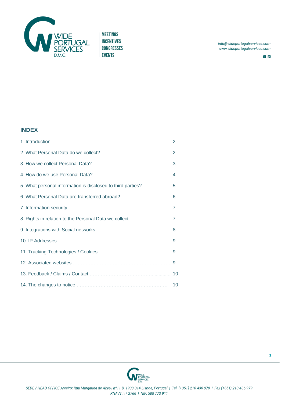

info@wideportugalservices.com www.wideportugalservices.com

 $f$  in

## **INDEX**

| 5. What personal information is disclosed to third parties?  5 |    |
|----------------------------------------------------------------|----|
| 6. What Personal Data are transferred abroad?  6               |    |
|                                                                |    |
|                                                                |    |
|                                                                |    |
|                                                                |    |
|                                                                |    |
|                                                                |    |
|                                                                |    |
|                                                                | 10 |

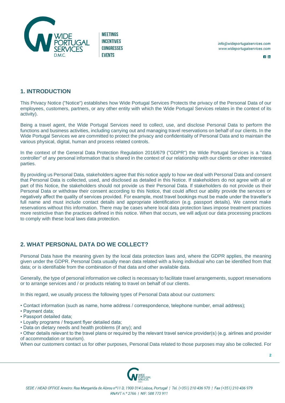

 $\overline{f}$  in

### **1. INTRODUCTION**

This Privacy Notice ("Notice") establishes how Wide Portugal Services Protects the privacy of the Personal Data of our employees, customers, partners, or any other entity with which the Wide Portugal Services relates in the context of its activity).

Being a travel agent, the Wide Portugal Services need to collect, use, and disclose Personal Data to perform the functions and business activities, including carrying out and managing travel reservations on behalf of our clients. In the Wide Portugal Services we are committed to protect the privacy and confidentiality of Personal Data and to maintain the various physical, digital, human and process related controls.

In the context of the General Data Protection Regulation 2016/679 ("GDPR") the Wide Portugal Services is a "data controller" of any personal information that is shared in the context of our relationship with our clients or other interested parties.

By providing us Personal Data, stakeholders agree that this notice apply to how we deal with Personal Data and consent that Personal Data is collected, used, and disclosed as detailed in this Notice. If stakeholders do not agree with all or part of this Notice, the stakeholders should not provide us their Personal Data. If stakeholders do not provide us their Personal Data or withdraw their consent according to this Notice, that could affect our ability provide the services or negatively affect the quality of services provided. For example, most travel bookings must be made under the traveller's full name and must include contact details and appropriate identification (e.g. passport details). We cannot make reservations without this information. There may be cases where local data protection laws impose treatment practices more restrictive than the practices defined in this notice. When that occurs, we will adjust our data processing practices to comply with these local laws data protection.

# **2. WHAT PERSONAL DATA DO WE COLLECT?**

Personal Data have the meaning given by the local data protection laws and, where the GDPR applies, the meaning given under the GDPR. Personal Data usually mean data related with a living individual who can be identified from that data; or is identifiable from the combination of that data and other available data.

Generally, the type of personal information we collect is necessary to facilitate travel arrangements, support reservations or to arrange services and / or products relating to travel on behalf of our clients.

In this regard, we usually process the following types of Personal Data about our customers:

- Contact information (such as name, home address / correspondence, telephone number, email address);
- Payment data;
- Passport detailed data;
- Loyalty programs / frequent flyer detailed data;
- Data on dietary needs and health problems (if any); and

• Other details relevant to the travel plans or required by the relevant travel service provider(s) (e.g. airlines and provider of accommodation or tourism).

When our customers contact us for other purposes, Personal Data related to those purposes may also be collected. For

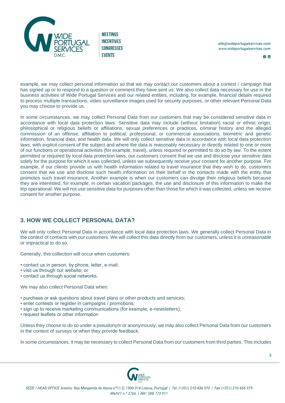

 $f$  in

example, we may collect personal information so that we may contact our customers about a contest / campaign that has signed up or to respond to a question or comment they have sent us. We also collect data necessary for use in the business activities of Wide Portugal Services and our related entities, including, for example, financial details required to process multiple transactions, video surveillance images used for security purposes, or other relevant Personal Data you may choose to provide us.

In some circumstances, we may collect Personal Data from our customers that may be considered sensitive data in accordance with local data protection laws. Sensitive data may include (without limitation) racial or ethnic origin, philosophical or religious beliefs or affiliations, sexual preferences or practices, criminal history and the alleged commission of an offense, affiliation to political, professional, or commercial associations, biometric and genetic information, financial data, and health data. We will only collect sensitive data in accordance with local data protection laws, with explicit consent of the subject and where the data is reasonably necessary or directly related to one or more of our functions or operational activities (for example, travel), unless required or permitted to do so by law. To the extent permitted or required by local data protection laws, our customers consent that we use and disclose your sensitive data solely for the purpose for which it was collected, unless we subsequently receive your consent for another purpose. For example, if our clients provide us with health information related to travel insurance that they wish to do, customers consent that we use and disclose such health information on their behalf in the contacts made with the entity that promotes such travel insurance. Another example is when our customers can divulge their religious beliefs because they are interested, for example, in certain vacation packages, the use and disclosure of this information to make the trip operational. We will not use sensitive data for purposes other than those for which it was collected, unless we receive consent for another purpose.

## **3. HOW WE COLLECT PERSONAL DATA?**

We will only collect Personal Data in accordance with local data protection laws. We generally collect Personal Data in the context of contacts with our customers. We will collect this data directly from our customers, unless it is unreasonable or impractical to do so.

Generally, this collection will occur when customers:

- contact us in person, by phone, letter, e-mail;
- visit us through our website; or
- contact us through social networks.

We may also collect Personal Data when:

- purchase or ask questions about travel plans or other products and services;
- enter contests or register in campaigns / promotions;
- sign up to receive marketing communications (for example, e-newsletters);
- request leaflets or other information

Unless they choose to do so under a pseudonym or anonymously, we may also collect Personal Data from our customers in the context of surveys or when they provide feedback.

In some circumstances, it may be necessary to collect Personal Data from our customers from third parties. This includes

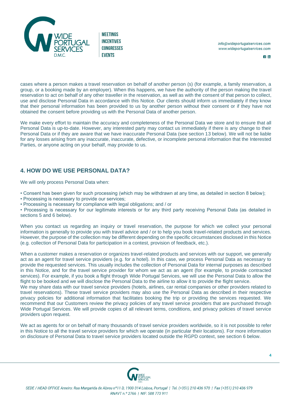

 $f$  in

cases where a person makes a travel reservation on behalf of another person (s) (for example, a family reservation, a group, or a booking made by an employer). When this happens, we have the authority of the person making the travel reservation to act on behalf of any other traveller in the reservation, as well as with the consent of that person to collect, use and disclose Personal Data in accordance with this Notice. Our clients should inform us immediately if they know that their personal information has been provided to us by another person without their consent or if they have not obtained the consent before providing us with the Personal Data of another person.

We make every effort to maintain the accuracy and completeness of the Personal Data we store and to ensure that all Personal Data is up-to-date. However, any interested party may contact us immediately if there is any change to their Personal Data or if they are aware that we have inaccurate Personal Data (see section 13 below). We will not be liable for any losses arising from any inaccurate, inaccurate, defective, or incomplete personal information that the Interested Parties, or anyone acting on your behalf, may provide to us.

### **4. HOW DO WE USE PERSONAL DATA?**

We will only process Personal Data when:

- Consent has been given for such processing (which may be withdrawn at any time, as detailed in section 8 below);
- Processing is necessary to provide our services;
- Processing is necessary for compliance with legal obligations; and / or

• Processing is necessary for our legitimate interests or for any third party receiving Personal Data (as detailed in sections 5 and 6 below).

When you contact us regarding an inquiry or travel reservation, the purpose for which we collect your personal information is generally to provide you with travel advice and / or to help you book travel-related products and services. However, the purpose of the collection may be different depending on the specific circumstances disclosed in this Notice (e.g. collection of Personal Data for participation in a contest, provision of feedback, etc.).

When a customer makes a reservation or organizes travel-related products and services with our support, we generally act as an agent for travel service providers (e.g. for a hotel). In this case, we process Personal Data as necessary to provide the requested services. This usually includes the collection of Personal Data for internal purposes as described in this Notice, and for the travel service provider for whom we act as an agent (for example, to provide contracted services). For example, if you book a flight through Wide Portugal Services, we will use the Personal Data to allow the flight to be booked and we will disclose the Personal Data to the airline to allow it to provide the flight service.

We may share data with our travel service providers (hotels, airlines, car rental companies or other providers related to travel reservations). These travel service providers may also use the Personal Data as described in their respective privacy policies for additional information that facilitates booking the trip or providing the services requested. We recommend that our Customers review the privacy policies of any travel service providers that are purchased through Wide Portugal Services. We will provide copies of all relevant terms, conditions, and privacy policies of travel service providers upon request.

We act as agents for or on behalf of many thousands of travel service providers worldwide, so it is not possible to refer in this Notice to all the travel service providers for which we operate (in particular their locations). For more information on disclosure of Personal Data to travel service providers located outside the RGPD context, see section 6 below.

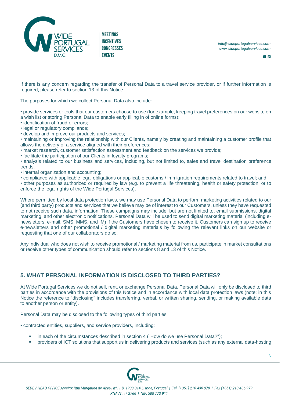

 $f$  in

If there is any concern regarding the transfer of Personal Data to a travel service provider, or if further information is required, please refer to section 13 of this Notice.

The purposes for which we collect Personal Data also include:

- provide services or tools that our customers choose to use (for example, keeping travel preferences on our website on a wish list or storing Personal Data to enable early filling in of online forms);
- identification of fraud or errors;
- legal or regulatory compliance;
- develop and improve our products and services;
- maintaining or improving the relationship with our Clients, namely by creating and maintaining a customer profile that allows the delivery of a service aligned with their preferences;
- market research, customer satisfaction assessment and feedback on the services we provide;
- facilitate the participation of our Clients in loyalty programs;

• analysis related to our business and services, including, but not limited to, sales and travel destination preference trends;

- internal organization and accounting;
- compliance with applicable legal obligations or applicable customs / immigration requirements related to travel; and

• other purposes as authorized or required by law (e.g. to prevent a life threatening, health or safety protection, or to enforce the legal rights of the Wide Portugal Services).

Where permitted by local data protection laws, we may use Personal Data to perform marketing activities related to our (and third party) products and services that we believe may be of interest to our Customers, unless they have requested to not receive such data. information. These campaigns may include, but are not limited to, email submissions, digital marketing, and other electronic notifications. Personal Data will be used to send digital marketing material (including enewsletters, e-mail, SMS, MMS, and IM) if the Customers have chosen to receive it. Customers can sign up to receive e-newsletters and other promotional / digital marketing materials by following the relevant links on our website or requesting that one of our collaborators do so.

Any individual who does not wish to receive promotional / marketing material from us, participate in market consultations or receive other types of communication should refer to sections 8 and 13 of this Notice.

### **5. WHAT PERSONAL INFORMATION IS DISCLOSED TO THIRD PARTIES?**

At Wide Portugal Services we do not sell, rent, or exchange Personal Data. Personal Data will only be disclosed to third parties in accordance with the provisions of this Notice and in accordance with local data protection laws (note: in this Notice the reference to "disclosing" includes transferring, verbal, or written sharing, sending, or making available data to another person or entity).

Personal Data may be disclosed to the following types of third parties:

• contracted entities, suppliers, and service providers, including:

- in each of the circumstances described in section 4 ("How do we use Personal Data?");
- providers of ICT solutions that support us in delivering products and services (such as any external data-hosting

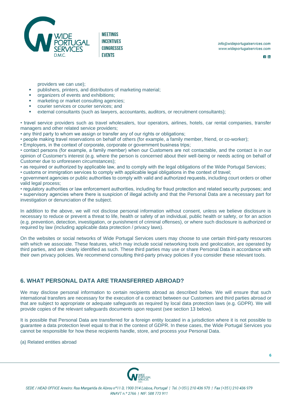

 $f$  in

providers we can use);

- **•** publishers, printers, and distributors of marketing material;
- **■** organizers of events and exhibitions;
- marketing or market consulting agencies;
- courier services or courier services; and
- external consultants (such as lawyers, accountants, auditors, or recruitment consultants);

• travel service providers such as travel wholesalers, tour operators, airlines, hotels, car rental companies, transfer managers and other related service providers;

• any third party to whom we assign or transfer any of our rights or obligations;

- people making travel reservations on behalf of others (for example, a family member, friend, or co-worker);
- Employers, in the context of corporate, corporate or government business trips;

• contact persons (for example, a family member) when our Customers are not contactable, and the contact is in our opinion of Customer's interest (e.g. where the person is concerned about their well-being or needs acting on behalf of Customer due to unforeseen circumstances);

- as required or authorized by applicable law, and to comply with the legal obligations of the Wide Portugal Services;
- customs or immigration services to comply with applicable legal obligations in the context of travel;

• government agencies or public authorities to comply with valid and authorized requests, including court orders or other valid legal process;

• regulatory authorities or law enforcement authorities, including for fraud protection and related security purposes; and • supervisory agencies where there is suspicion of illegal activity and that the Personal Data are a necessary part for investigation or denunciation of the subject.

In addition to the above, we will not disclose personal information without consent, unless we believe disclosure is necessary to reduce or prevent a threat to life, health or safety of an individual, public health or safety, or for an action (e.g. prevention, detection, investigation, or punishment of criminal offenses), or where such disclosure is authorized or required by law (including applicable data protection / privacy laws).

On the websites or social networks of Wide Portugal Services users may choose to use certain third-party resources with which we associate. These features, which may include social networking tools and geolocation, are operated by third parties, and are clearly identified as such. These third parties may use or share Personal Data in accordance with their own privacy policies. We recommend consulting third-party privacy policies if you consider these relevant tools.

### **6. WHAT PERSONAL DATA ARE TRANSFERRED ABROAD?**

We may disclose personal information to certain recipients abroad as described below. We will ensure that such international transfers are necessary for the execution of a contract between our Customers and third parties abroad or that are subject to appropriate or adequate safeguards as required by local data protection laws (e.g. GDPR). We will provide copies of the relevant safeguards documents upon request (see section 13 below).

It is possible that Personal Data are transferred for a foreign entity located in a jurisdiction where it is not possible to guarantee a data protection level equal to that in the context of GDPR. In these cases, the Wide Portugal Services you cannot be responsible for how these recipients handle, store, and process your Personal Data.

(a) Related entities abroad

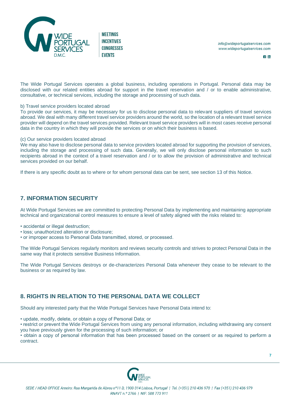

 $f$  in

The Wide Portugal Services operates a global business, including operations in Portugal. Personal data may be disclosed with our related entities abroad for support in the travel reservation and / or to enable administrative, consultative, or technical services, including the storage and processing of such data.

#### b) Travel service providers located abroad

To provide our services, it may be necessary for us to disclose personal data to relevant suppliers of travel services abroad. We deal with many different travel service providers around the world, so the location of a relevant travel service provider will depend on the travel services provided. Relevant travel service providers will in most cases receive personal data in the country in which they will provide the services or on which their business is based.

#### (c) Our service providers located abroad

We may also have to disclose personal data to service providers located abroad for supporting the provision of services, including the storage and processing of such data. Generally, we will only disclose personal information to such recipients abroad in the context of a travel reservation and / or to allow the provision of administrative and technical services provided on our behalf.

If there is any specific doubt as to where or for whom personal data can be sent, see section 13 of this Notice.

### **7. INFORMATION SECURITY**

At Wide Portugal Services we are committed to protecting Personal Data by implementing and maintaining appropriate technical and organizational control measures to ensure a level of safety aligned with the risks related to:

- accidental or illegal destruction;
- loss; unauthorized alteration or disclosure;
- or improper access to Personal Data transmitted, stored, or processed.

The Wide Portugal Services regularly monitors and reviews security controls and strives to protect Personal Data in the same way that it protects sensitive Business Information.

The Wide Portugal Services destroys or de-characterizes Personal Data whenever they cease to be relevant to the business or as required by law.

## **8. RIGHTS IN RELATION TO THE PERSONAL DATA WE COLLECT**

Should any interested party that the Wide Portugal Services have Personal Data intend to:

• update, modify, delete, or obtain a copy of Personal Data; or

• restrict or prevent the Wide Portugal Services from using any personal information, including withdrawing any consent you have previously given for the processing of such information; or

• obtain a copy of personal information that has been processed based on the consent or as required to perform a contract.

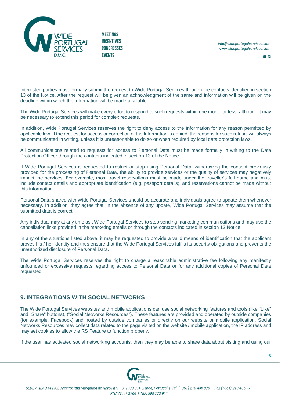

 $f$  in

Interested parties must formally submit the request to Wide Portugal Services through the contacts identified in section 13 of the Notice. After the request will be given an acknowledgment of the same and information will be given on the deadline within which the information will be made available.

The Wide Portugal Services will make every effort to respond to such requests within one month or less, although it may be necessary to extend this period for complex requests.

In addition, Wide Portugal Services reserves the right to deny access to the Information for any reason permitted by applicable law. If the request for access or correction of the Information is denied, the reasons for such refusal will always be communicated in writing, unless it is unreasonable to do so or when required by local data protection laws.

All communications related to requests for access to Personal Data must be made formally in writing to the Data Protection Officer through the contacts indicated in section 13 of the Notice.

If Wide Portugal Services is requested to restrict or stop using Personal Data, withdrawing the consent previously provided for the processing of Personal Data, the ability to provide services or the quality of services may negatively impact the services. For example, most travel reservations must be made under the traveller's full name and must include contact details and appropriate identification (e.g. passport details), and reservations cannot be made without this information.

Personal Data shared with Wide Portugal Services should be accurate and individuals agree to update them whenever necessary. In addition, they agree that, in the absence of any update, Wide Portugal Services may assume that the submitted data is correct.

Any individual may at any time ask Wide Portugal Services to stop sending marketing communications and may use the cancellation links provided in the marketing emails or through the contacts indicated in section 13 Notice.

In any of the situations listed above, it may be requested to provide a valid means of identification that the applicant proves his / her identity and thus ensure that the Wide Portugal Services fulfils its security obligations and prevents the unauthorized disclosure of Personal Data.

The Wide Portugal Services reserves the right to charge a reasonable administrative fee following any manifestly unfounded or excessive requests regarding access to Personal Data or for any additional copies of Personal Data requested.

### **9. INTEGRATIONS WITH SOCIAL NETWORKS**

The Wide Portugal Services websites and mobile applications can use social networking features and tools (like "Like" and "Share" buttons), ("Social Networks Resources"). These features are provided and operated by outside companies (for example, Facebook) and hosted by outside companies or directly on our website or mobile application. Social Networks Resources may collect data related to the page visited on the website / mobile application, the IP address and may set cookies to allow the RS Feature to function properly.

If the user has activated social networking accounts, then they may be able to share data about visiting and using our

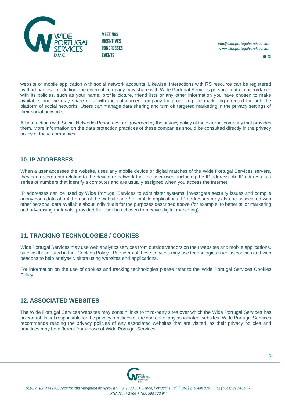

 $f$  in

website or mobile application with social network accounts. Likewise, interactions with RS resource can be registered by third parties. In addition, the external company may share with Wide Portugal Services personal data in accordance with its policies, such as your name, profile picture, friend lists or any other information you have chosen to make available, and we may share data with the outsourced company for promoting the marketing directed through the platform of social networks. Users can manage data sharing and turn off targeted marketing in the privacy settings of their social networks.

All interactions with Social Networks Resources are governed by the privacy policy of the external company that provides them. More information on the data protection practices of these companies should be consulted directly in the privacy policy of these companies.

### **10. IP ADDRESSES**

When a user accesses the website, uses any mobile device or digital matches of the Wide Portugal Services servers, they can record data relating to the device or network that the user uses, including the IP address. An IP address is a series of numbers that identify a computer and are usually assigned when you access the Internet.

IP addresses can be used by Wide Portugal Services to administer systems, investigate security issues and compile anonymous data about the use of the website and / or mobile applications. IP addresses may also be associated with other personal data available about individuals for the purposes described above (for example, to better tailor marketing and advertising materials, provided the user has chosen to receive digital marketing).

## **11. TRACKING TECHNOLOGIES / COOKIES**

Wide Portugal Services may use web analytics services from outside vendors on their websites and mobile applications, such as those listed in the "Cookies Policy". Providers of these services may use technologies such as cookies and web beacons to help analyse visitors using websites and applications.

For information on the use of cookies and tracking technologies please refer to the Wide Portugal Services Cookies Policy.

## **12. ASSOCIATED WEBSITES**

The Wide Portugal Services websites may contain links to third-party sites over which the Wide Portugal Services has no control. Is not responsible for the privacy practices or the content of any associated websites. Wide Portugal Services recommends reading the privacy policies of any associated websites that are visited, as their privacy policies and practices may be different from those of Wide Portugal Services.